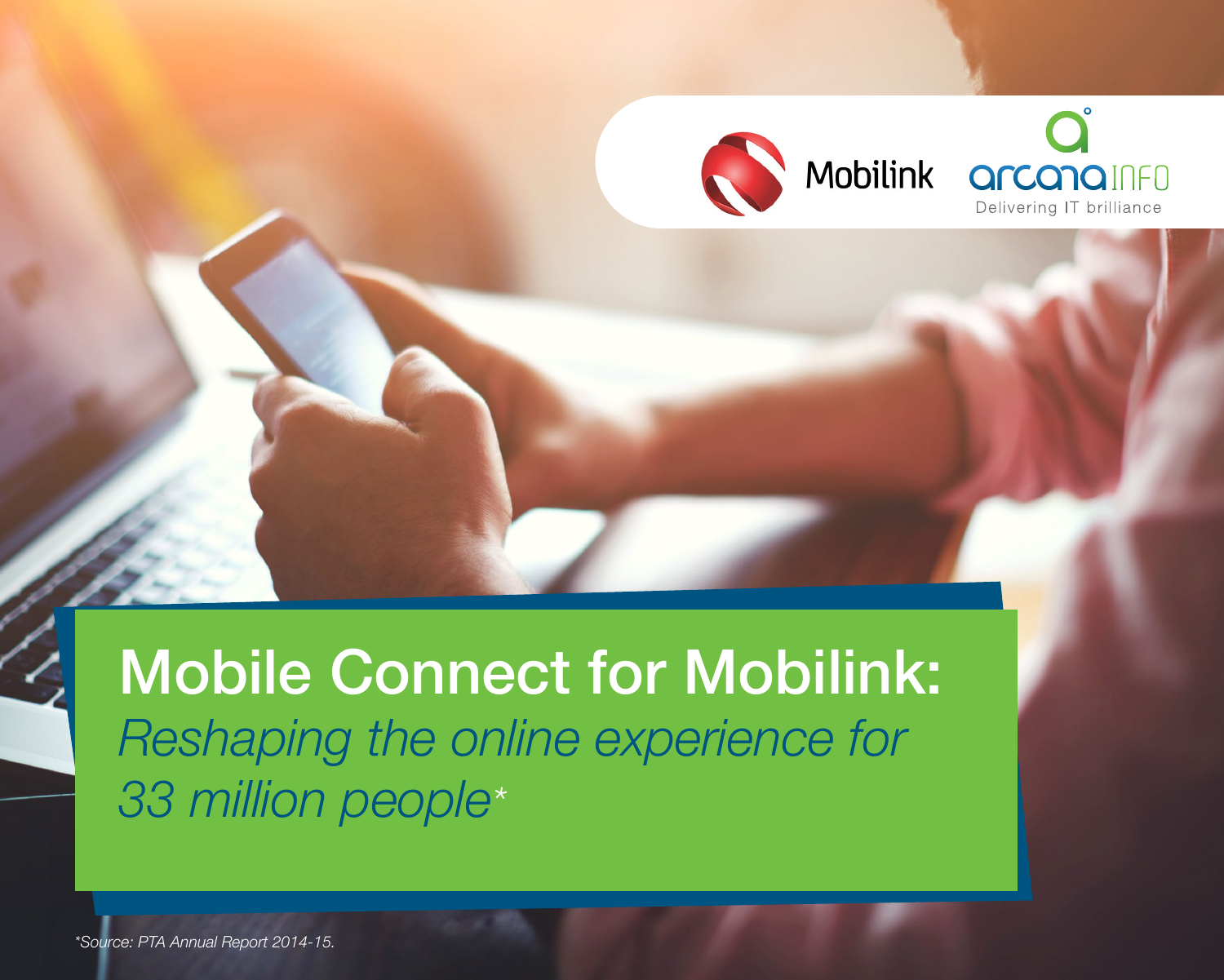

### Mobile Connect for Mobilink: *Reshaping the online experience for 33 million people\**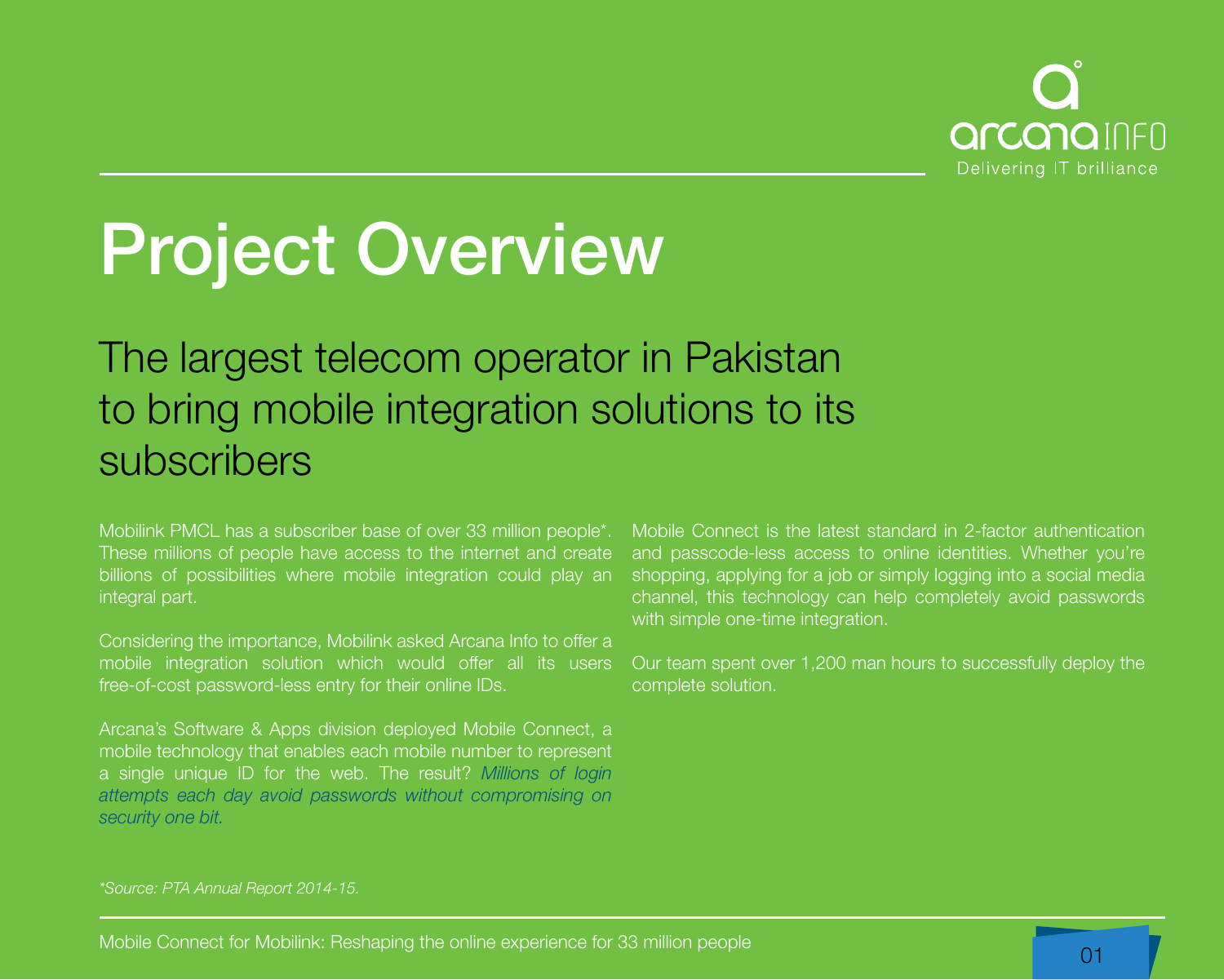

## Project Overview

#### The largest telecom operator in Pakistan to bring mobile integration solutions to its subscribers

Mobilink PMCL has a subscriber base of over 33 million people\*. These millions of people have access to the internet and create billions of possibilities where mobile integration could play an integral part.

Considering the importance, Mobilink asked Arcana Info to offer a mobile integration solution which would offer all its users free-of-cost password-less entry for their online IDs.

Arcana's Software & Apps division deployed Mobile Connect, a mobile technology that enables each mobile number to represent a single unique ID for the web. The result? *Millions of login attempts each day avoid passwords without compromising on security one bit.*

Mobile Connect is the latest standard in 2-factor authentication and passcode-less access to online identities. Whether you're shopping, applying for a job or simply logging into a social media channel, this technology can help completely avoid passwords with simple one-time integration.

Our team spent over 1,200 man hours to successfully deploy the complete solution.

#### *\*Source: PTA Annual Report 2014-15.*

Mobile Connect for Mobilink: Reshaping the online experience for 33 million people 01 million connect for Mobilink: 01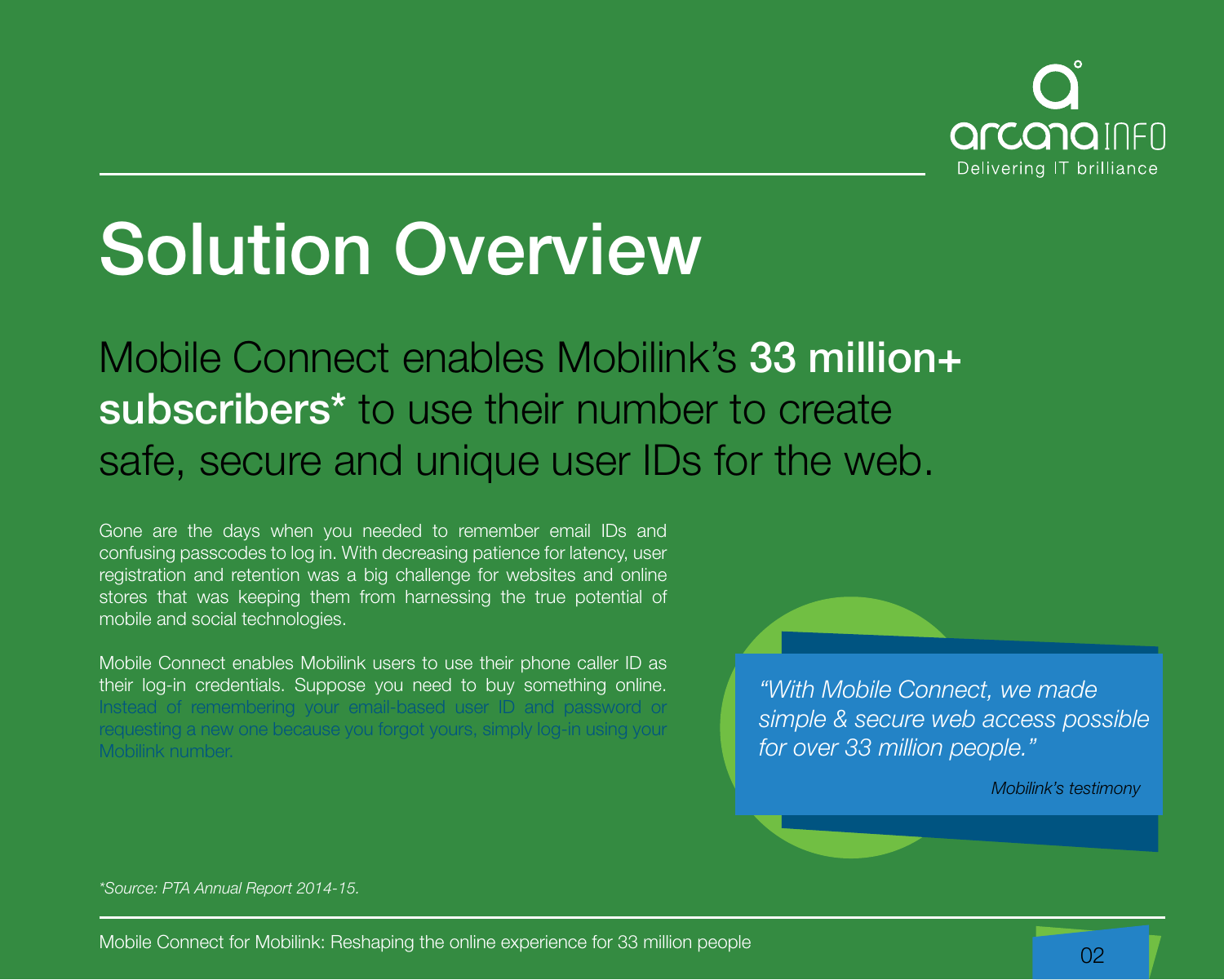

## Solution Overview

Mobile Connect enables Mobilink's 33 million+ subscribers<sup>\*</sup> to use their number to create safe, secure and unique user IDs for the web.

Gone are the days when you needed to remember email IDs and confusing passcodes to log in. With decreasing patience for latency, user registration and retention was a big challenge for websites and online stores that was keeping them from harnessing the true potential of mobile and social technologies.

Mobile Connect enables Mobilink users to use their phone caller ID as their log-in credentials. Suppose you need to buy something online. Instead of remembering your email-based user ID and password requesting a new one because you forgot yours, simply log-in using your Mobilink number.

*"With Mobile Connect, we made simple & secure web access possible for over 33 million people."*

*Mobilink's testimony*

*\*Source: PTA Annual Report 2014-15.*

Mobile Connect for Mobilink: Reshaping the online experience for 33 million people 02 million between 1980 million people 02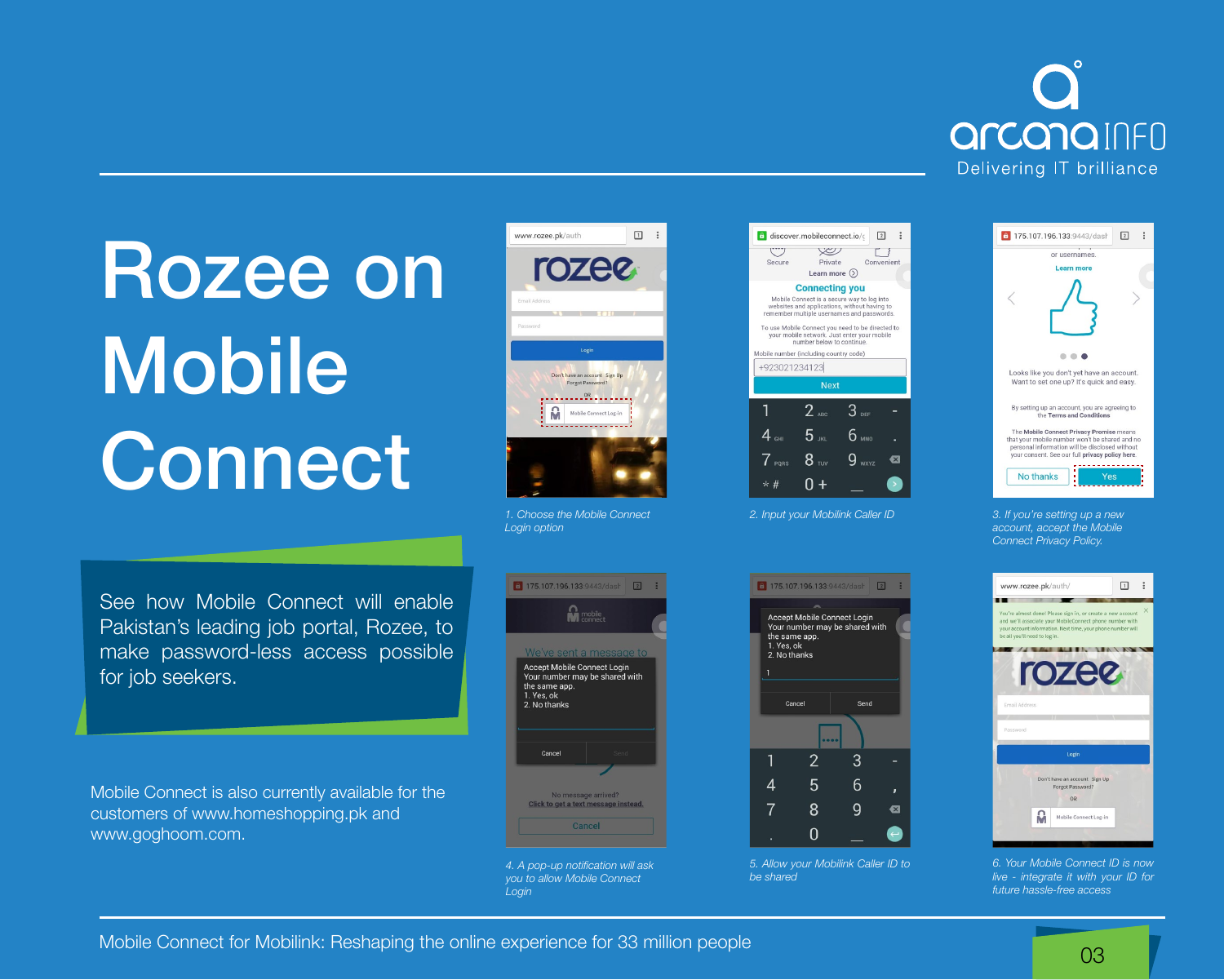

# Rozee on Mobile Connect

See how Mobile Connect will enable Pakistan's leading job portal, Rozee, to make password-less access possible for job seekers.

Mobile Connect is also currently available for the customers of www.homeshopping.pk and www.goghoom.com.



*1. Choose the Mobile Connect Login option*



*4. A pop-up notification will ask you to allow Mobile Connect Login*

| Ÿ.<br>Convenient<br>Private<br>Secure<br>Learn more $($ )<br><b>Connecting you</b><br>Mobile Connect is a secure way to log into<br>websites and applications, without having to<br>remember multiple usernames and passwords.<br>To use Mobile Connect you need to be directed to<br>your mobile network. Just enter your mobile<br>number below to continue.<br>Mobile number (including country code)<br>+923021234123<br><b>Next</b><br>$2_{\text{ABC}}$<br>$3$ DEF<br>$5$ JKL<br>$4$ GHI<br>$6$ mno<br>$8$ TUV<br>$\overline{I}$ PQRS<br>$\mathsf{x}$<br>$\star$ #<br>2. Input your Mobilink Caller ID | discover.mobileconnect.io/ | $\sqrt{2}$ |
|-------------------------------------------------------------------------------------------------------------------------------------------------------------------------------------------------------------------------------------------------------------------------------------------------------------------------------------------------------------------------------------------------------------------------------------------------------------------------------------------------------------------------------------------------------------------------------------------------------------|----------------------------|------------|
|                                                                                                                                                                                                                                                                                                                                                                                                                                                                                                                                                                                                             |                            |            |
|                                                                                                                                                                                                                                                                                                                                                                                                                                                                                                                                                                                                             |                            |            |
|                                                                                                                                                                                                                                                                                                                                                                                                                                                                                                                                                                                                             |                            |            |
|                                                                                                                                                                                                                                                                                                                                                                                                                                                                                                                                                                                                             |                            |            |
|                                                                                                                                                                                                                                                                                                                                                                                                                                                                                                                                                                                                             |                            |            |
|                                                                                                                                                                                                                                                                                                                                                                                                                                                                                                                                                                                                             |                            |            |
|                                                                                                                                                                                                                                                                                                                                                                                                                                                                                                                                                                                                             |                            |            |
|                                                                                                                                                                                                                                                                                                                                                                                                                                                                                                                                                                                                             |                            |            |
|                                                                                                                                                                                                                                                                                                                                                                                                                                                                                                                                                                                                             |                            |            |
|                                                                                                                                                                                                                                                                                                                                                                                                                                                                                                                                                                                                             |                            |            |
|                                                                                                                                                                                                                                                                                                                                                                                                                                                                                                                                                                                                             |                            |            |
|                                                                                                                                                                                                                                                                                                                                                                                                                                                                                                                                                                                                             |                            |            |
|                                                                                                                                                                                                                                                                                                                                                                                                                                                                                                                                                                                                             |                            |            |
|                                                                                                                                                                                                                                                                                                                                                                                                                                                                                                                                                                                                             |                            |            |
|                                                                                                                                                                                                                                                                                                                                                                                                                                                                                                                                                                                                             |                            |            |
|                                                                                                                                                                                                                                                                                                                                                                                                                                                                                                                                                                                                             |                            |            |
|                                                                                                                                                                                                                                                                                                                                                                                                                                                                                                                                                                                                             |                            |            |
|                                                                                                                                                                                                                                                                                                                                                                                                                                                                                                                                                                                                             |                            |            |
|                                                                                                                                                                                                                                                                                                                                                                                                                                                                                                                                                                                                             |                            |            |

Accept Mobile Connect Login

the same app.

Cancel

1. Yes, ok 2. No thanks

Your number may be shared with

Send

3

 $6 \overline{6}$ 

 $\overline{9}$ 

 $\bullet$ 

*5. Allow your Mobilink Caller ID to* 

. . . .

 $2<sup>1</sup>$ 

5

8

 $\Omega$ 

*be shared*

 $\overline{4}$ 

 $\overline{7}$ 



*account, accept the Mobile Connect Privacy Policy.*



*6. Your Mobile Connect ID is now live - integrate it with your ID for future hassle-free access*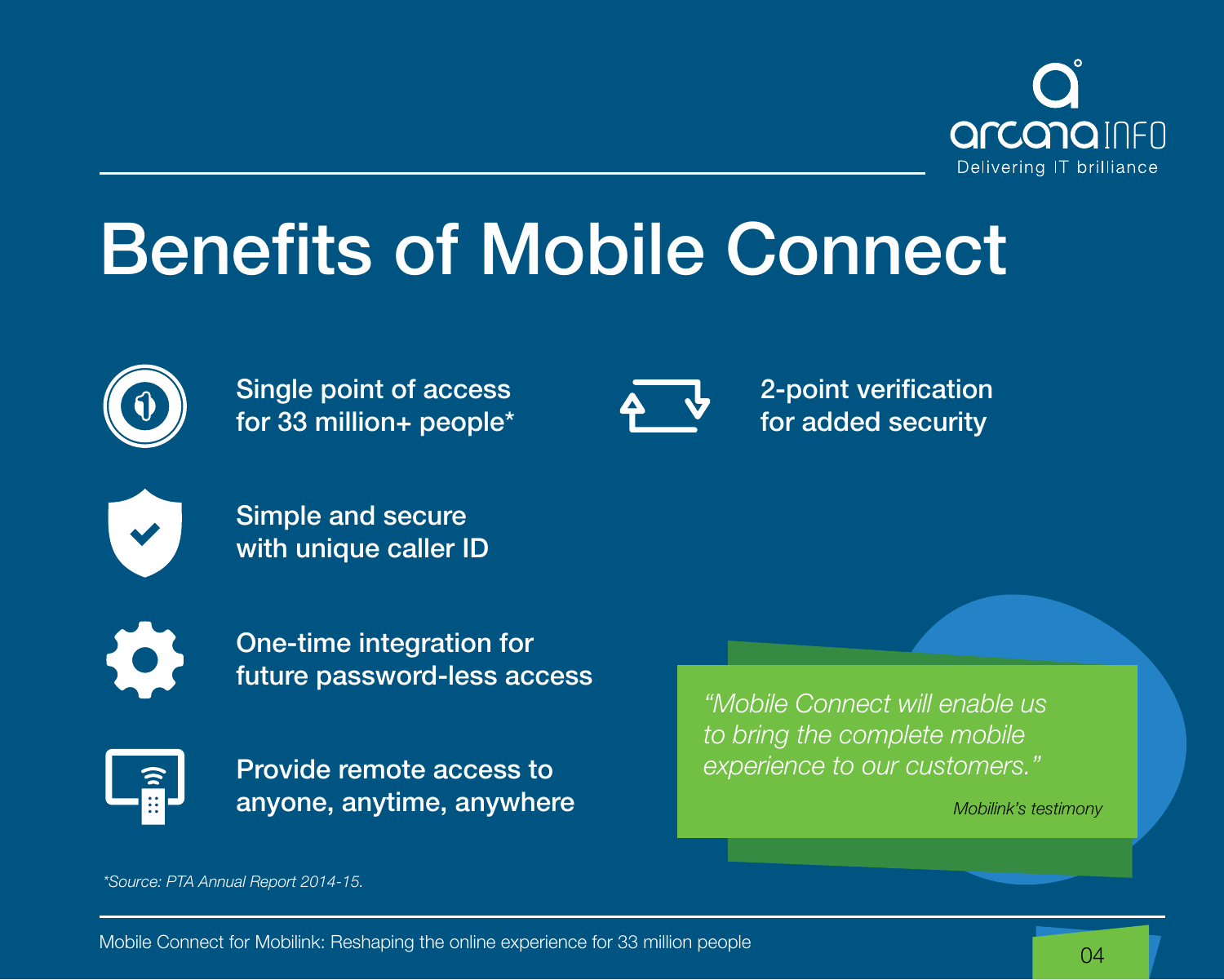

## Benefits of Mobile Connect



Single point of access for 33 million+ people\*



2-point verification for added security



Simple and secure with unique caller ID



One-time integration for future password-less access



Provide remote access to anyone, anytime, anywhere

*"Mobile Connect will enable us to bring the complete mobile experience to our customers."*

*Mobilink's testimony*

*\*Source: PTA Annual Report 2014-15.*

Mobile Connect for Mobilink: Reshaping the online experience for 33 million people 04 million by 100 million people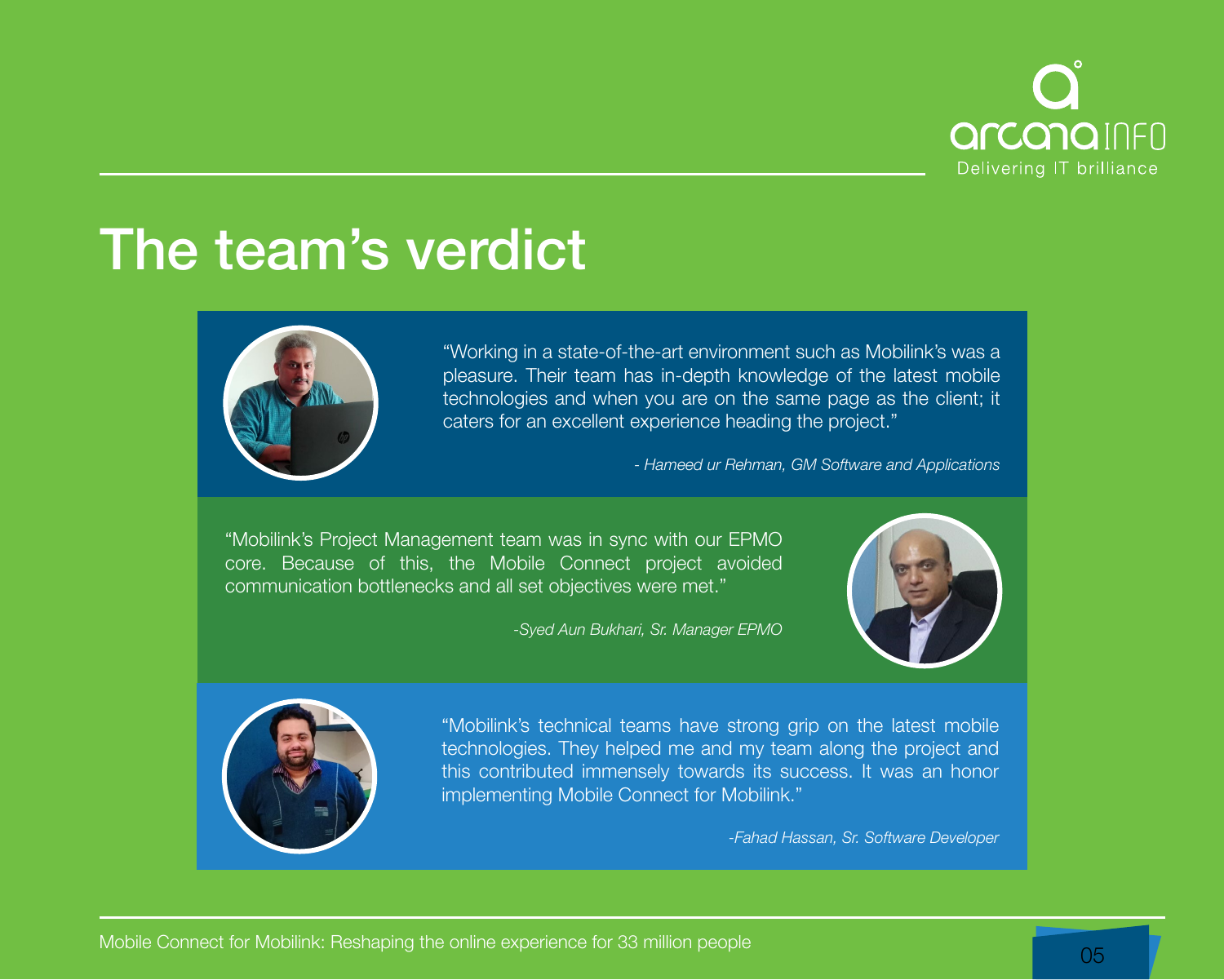

### The team's verdict



"Working in a state-of-the-art environment such as Mobilink's was a pleasure. Their team has in-depth knowledge of the latest mobile technologies and when you are on the same page as the client; it caters for an excellent experience heading the project."

*- Hameed ur Rehman, GM Software and Applications*

"Mobilink's Project Management team was in sync with our EPMO core. Because of this, the Mobile Connect project avoided communication bottlenecks and all set objectives were met."

*-Syed Aun Bukhari, Sr. Manager EPMO*





"Mobilink's technical teams have strong grip on the latest mobile technologies. They helped me and my team along the project and this contributed immensely towards its success. It was an honor implementing Mobile Connect for Mobilink."

*-Fahad Hassan, Sr. Software Developer*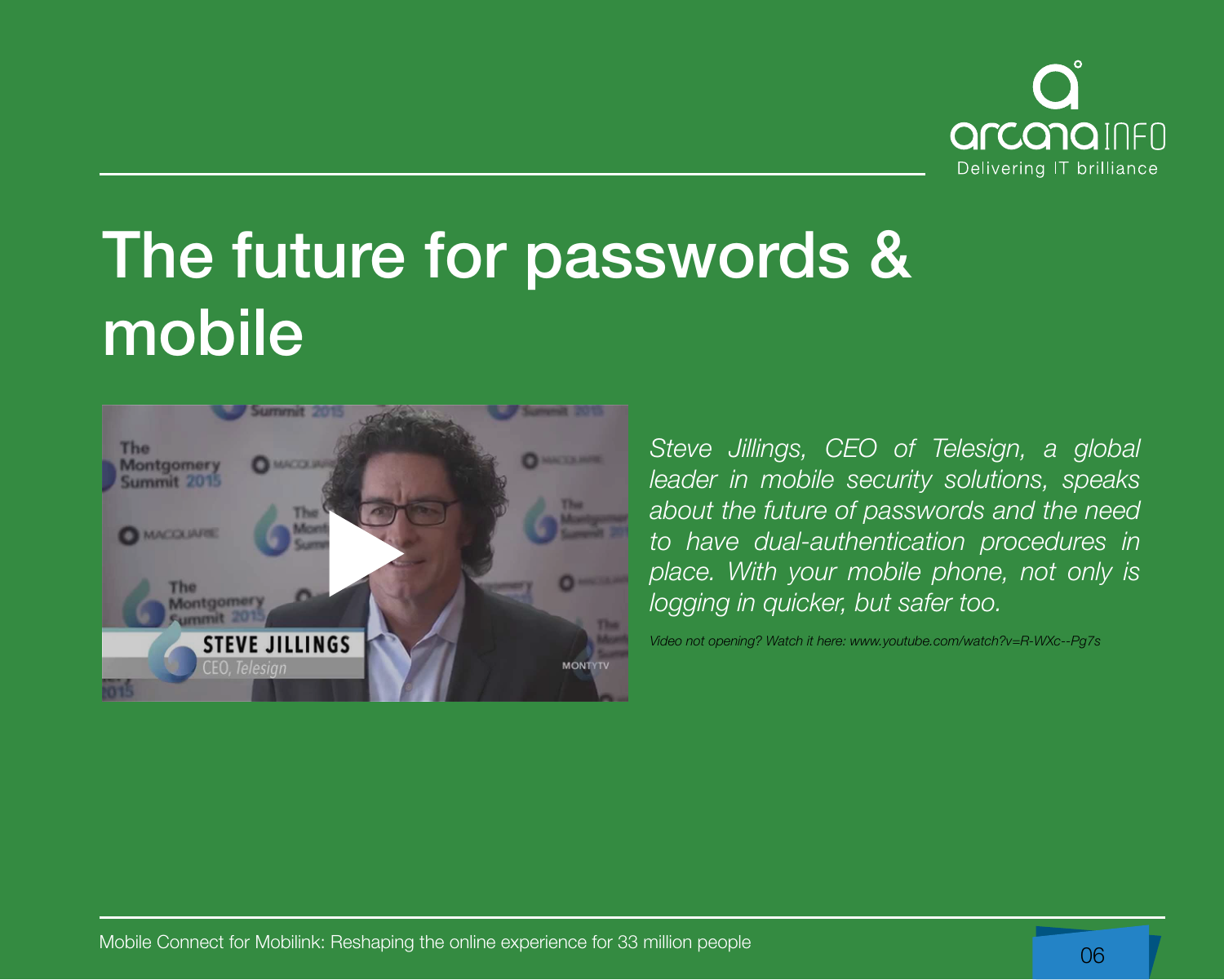

### The future for passwords & mobile



*Steve Jillings, CEO of Telesign, a global leader in mobile security solutions, speaks about the future of passwords and the need to have dual-authentication procedures in place. With your mobile phone, not only is logging in quicker, but safer too.*

*Video not opening? Watch it here: www.youtube.com/watch?v=R-WXc--Pg7s*